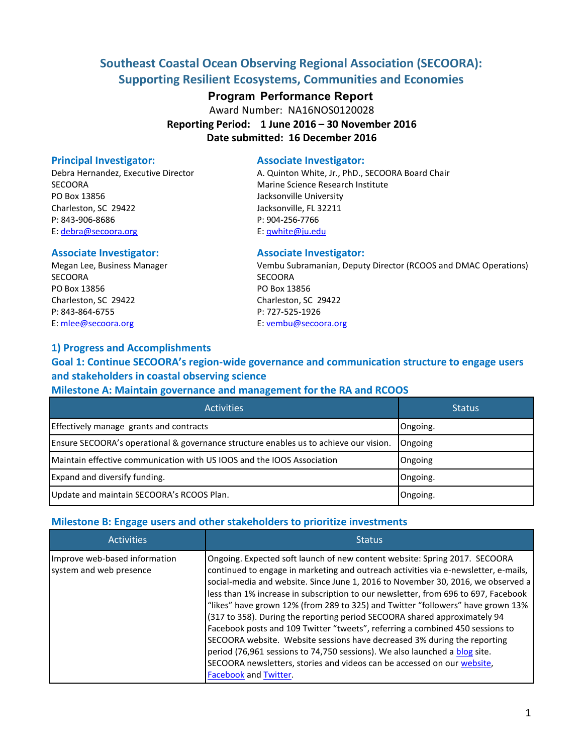# **Southeast Coastal Ocean Observing Regional Association (SECOORA): Supporting Resilient Ecosystems, Communities and Economies**

#### **Program Performance Report**

Award Number: NA16NOS0120028

**Reporting Period: 1 June 2016 – 30 November 2016 Date submitted: 16 December 2016** 

SECOORA Marine Science Research Institute PO Box 13856 **PO Box 13856** Jacksonville University Charleston, SC 29422 Jacksonville, FL 32211 P: 843-906-8686 P: 904-256-7766 E: [debra@secoora.org](mailto:debra@secoora.org) example and E: [qwhite@ju.edu](mailto:qwhite@ju.edu)

#### Associate Investigator: **Associate Investigator:**

SECOORA SECOORA PO Box 13856 PO Box 13856 Charleston, SC 29422 Charleston, SC 29422 P: 843-864-6755 P: 727-525-1926 E[: mlee@secoora.org](mailto:mlee@secoora.org) E: [vembu@secoora.org](mailto:vembu@secoora.org) 

#### **1) Progress and Accomplishments**

## **Goal 1: Continue SECOORA's region-wide governance and communication structure to engage users and stakeholders in coastal observing science**

#### **Milestone A: Maintain governance and management for the RA and RCOOS**

| <b>Activities</b>                                                                     | <b>Status</b> |
|---------------------------------------------------------------------------------------|---------------|
| Effectively manage grants and contracts                                               | Ongoing.      |
| Ensure SECOORA's operational & governance structure enables us to achieve our vision. | Ongoing       |
| Maintain effective communication with US IOOS and the IOOS Association                | Ongoing       |
| Expand and diversify funding.                                                         | Ongoing.      |
| Update and maintain SECOORA's RCOOS Plan.                                             | Ongoing.      |

#### **Milestone B: Engage users and other stakeholders to prioritize investments**

| <b>Activities</b>                                        | <b>Status</b>                                                                                                                                                                                                                                                                                                                                                                                                                                                                                                                                                                                                                                                                                                                                                                                                                                              |
|----------------------------------------------------------|------------------------------------------------------------------------------------------------------------------------------------------------------------------------------------------------------------------------------------------------------------------------------------------------------------------------------------------------------------------------------------------------------------------------------------------------------------------------------------------------------------------------------------------------------------------------------------------------------------------------------------------------------------------------------------------------------------------------------------------------------------------------------------------------------------------------------------------------------------|
| Improve web-based information<br>system and web presence | Ongoing. Expected soft launch of new content website: Spring 2017. SECOORA<br>continued to engage in marketing and outreach activities via e-newsletter, e-mails,<br>social-media and website. Since June 1, 2016 to November 30, 2016, we observed a<br>less than 1% increase in subscription to our newsletter, from 696 to 697, Facebook<br>"likes" have grown 12% (from 289 to 325) and Twitter "followers" have grown 13%<br>(317 to 358). During the reporting period SECOORA shared approximately 94<br>Facebook posts and 109 Twitter "tweets", referring a combined 450 sessions to<br>SECOORA website. Website sessions have decreased 3% during the reporting<br>period (76,961 sessions to 74,750 sessions). We also launched a blog site.<br>SECOORA newsletters, stories and videos can be accessed on our website,<br>Facebook and Twitter. |

## **Principal Investigator:** Associate Investigator:

Debra Hernandez, Executive Director **A. Quinton White, Jr., PhD., SECOORA Board Chair** 

Megan Lee, Business Manager Vembu Subramanian, Deputy Director (RCOOS and DMAC Operations)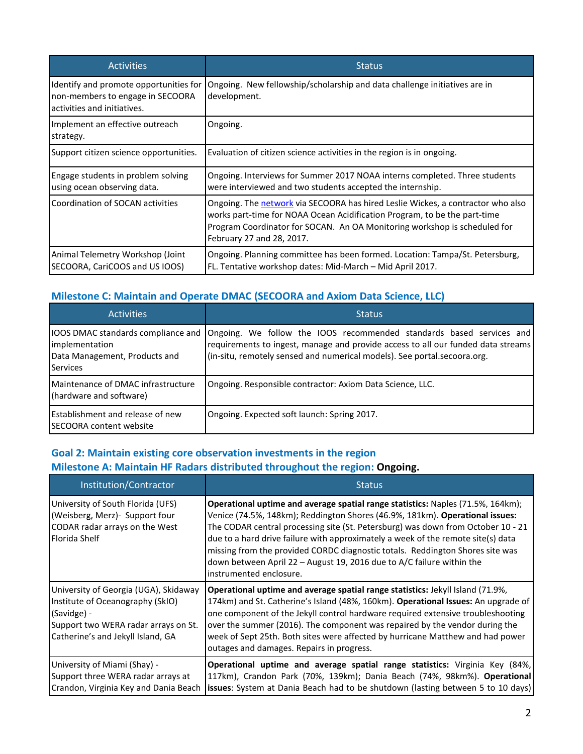| <b>Activities</b>                                                                                         | <b>Status</b>                                                                                                                                                                                                                                                          |
|-----------------------------------------------------------------------------------------------------------|------------------------------------------------------------------------------------------------------------------------------------------------------------------------------------------------------------------------------------------------------------------------|
| Identify and promote opportunities for<br>non-members to engage in SECOORA<br>activities and initiatives. | Ongoing. New fellowship/scholarship and data challenge initiatives are in<br>development.                                                                                                                                                                              |
| Implement an effective outreach<br>strategy.                                                              | Ongoing.                                                                                                                                                                                                                                                               |
| Support citizen science opportunities.                                                                    | Evaluation of citizen science activities in the region is in ongoing.                                                                                                                                                                                                  |
| Engage students in problem solving<br>using ocean observing data.                                         | Ongoing. Interviews for Summer 2017 NOAA interns completed. Three students<br>were interviewed and two students accepted the internship.                                                                                                                               |
| Coordination of SOCAN activities                                                                          | Ongoing. The network via SECOORA has hired Leslie Wickes, a contractor who also<br>works part-time for NOAA Ocean Acidification Program, to be the part-time<br>Program Coordinator for SOCAN. An OA Monitoring workshop is scheduled for<br>February 27 and 28, 2017. |
| Animal Telemetry Workshop (Joint<br>SECOORA, CariCOOS and US IOOS)                                        | Ongoing. Planning committee has been formed. Location: Tampa/St. Petersburg,<br>FL. Tentative workshop dates: Mid-March - Mid April 2017.                                                                                                                              |

## **Milestone C: Maintain and Operate DMAC (SECOORA and Axiom Data Science, LLC)**

| <b>Activities</b>                                                          | <b>Status</b>                                                                                                                                                                                                                                                             |
|----------------------------------------------------------------------------|---------------------------------------------------------------------------------------------------------------------------------------------------------------------------------------------------------------------------------------------------------------------------|
| implementation<br>Data Management, Products and<br><b>Services</b>         | [IOOS DMAC standards compliance and [Ongoing. We follow the IOOS recommended standards based services and<br>requirements to ingest, manage and provide access to all our funded data streams<br>(in-situ, remotely sensed and numerical models). See portal.secoora.org. |
| Maintenance of DMAC infrastructure<br>(hardware and software)              | Ongoing. Responsible contractor: Axiom Data Science, LLC.                                                                                                                                                                                                                 |
| <b>Establishment and release of new</b><br><b>ISECOORA content website</b> | Ongoing. Expected soft launch: Spring 2017.                                                                                                                                                                                                                               |

## **Goal 2: Maintain existing core observation investments in the region Milestone A: Maintain HF Radars distributed throughout the region: Ongoing.**

| Institution/Contractor                                                                                                                                                | <b>Status</b>                                                                                                                                                                                                                                                                                                                                                                                                                                                                                                                |
|-----------------------------------------------------------------------------------------------------------------------------------------------------------------------|------------------------------------------------------------------------------------------------------------------------------------------------------------------------------------------------------------------------------------------------------------------------------------------------------------------------------------------------------------------------------------------------------------------------------------------------------------------------------------------------------------------------------|
| University of South Florida (UFS)<br>(Weisberg, Merz) - Support four<br>CODAR radar arrays on the West<br>Florida Shelf                                               | Operational uptime and average spatial range statistics: Naples (71.5%, 164km);<br>Venice (74.5%, 148km); Reddington Shores (46.9%, 181km). Operational issues:<br>The CODAR central processing site (St. Petersburg) was down from October 10 - 21<br>due to a hard drive failure with approximately a week of the remote site(s) data<br>missing from the provided CORDC diagnostic totals. Reddington Shores site was<br>down between April 22 – August 19, 2016 due to A/C failure within the<br>instrumented enclosure. |
| University of Georgia (UGA), Skidaway<br>Institute of Oceanography (SkIO)<br>(Savidge) -<br>Support two WERA radar arrays on St.<br>Catherine's and Jekyll Island, GA | Operational uptime and average spatial range statistics: Jekyll Island (71.9%,<br>174km) and St. Catherine's Island (48%, 160km). Operational Issues: An upgrade of<br>one component of the Jekyll control hardware required extensive troubleshooting<br>over the summer (2016). The component was repaired by the vendor during the<br>week of Sept 25th. Both sites were affected by hurricane Matthew and had power<br>outages and damages. Repairs in progress.                                                         |
| University of Miami (Shay) -<br>Support three WERA radar arrays at<br>Crandon, Virginia Key and Dania Beach                                                           | Operational uptime and average spatial range statistics: Virginia Key (84%,<br>117km), Crandon Park (70%, 139km); Dania Beach (74%, 98km%). Operational<br><b>issues</b> : System at Dania Beach had to be shutdown (lasting between 5 to 10 days)                                                                                                                                                                                                                                                                           |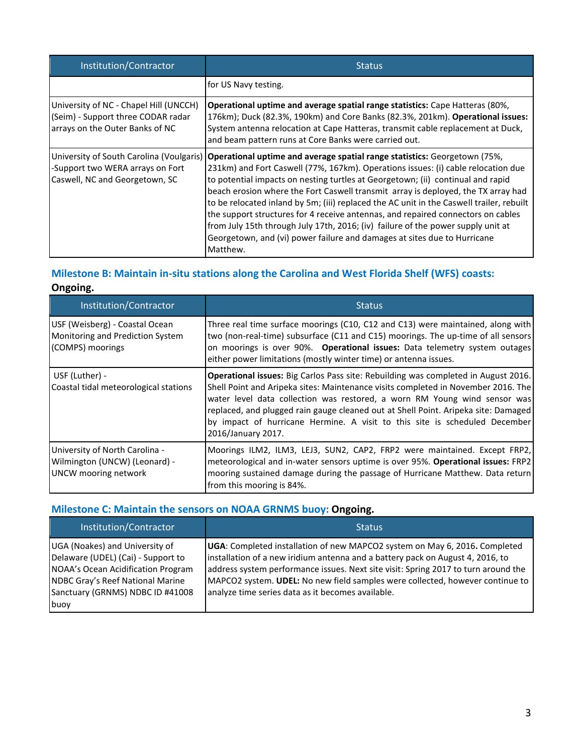| Institution/Contractor                                                                                          | <b>Status</b>                                                                                                                                                                                                                                                                                                                                                                                                                                                                                                                                                                                                                                                                                      |
|-----------------------------------------------------------------------------------------------------------------|----------------------------------------------------------------------------------------------------------------------------------------------------------------------------------------------------------------------------------------------------------------------------------------------------------------------------------------------------------------------------------------------------------------------------------------------------------------------------------------------------------------------------------------------------------------------------------------------------------------------------------------------------------------------------------------------------|
|                                                                                                                 | for US Navy testing.                                                                                                                                                                                                                                                                                                                                                                                                                                                                                                                                                                                                                                                                               |
| University of NC - Chapel Hill (UNCCH)<br>(Seim) - Support three CODAR radar<br>arrays on the Outer Banks of NC | Operational uptime and average spatial range statistics: Cape Hatteras (80%,<br>176km); Duck (82.3%, 190km) and Core Banks (82.3%, 201km). Operational issues:<br>System antenna relocation at Cape Hatteras, transmit cable replacement at Duck,<br>and beam pattern runs at Core Banks were carried out.                                                                                                                                                                                                                                                                                                                                                                                         |
| University of South Carolina (Voulgaris)<br>-Support two WERA arrays on Fort<br>Caswell, NC and Georgetown, SC  | Operational uptime and average spatial range statistics: Georgetown (75%,<br>231km) and Fort Caswell (77%, 167km). Operations issues: (i) cable relocation due<br>to potential impacts on nesting turtles at Georgetown; (ii) continual and rapid<br>beach erosion where the Fort Caswell transmit array is deployed, the TX array had<br>to be relocated inland by 5m; (iii) replaced the AC unit in the Caswell trailer, rebuilt<br>the support structures for 4 receive antennas, and repaired connectors on cables<br>from July 15th through July 17th, 2016; (iv) failure of the power supply unit at<br>Georgetown, and (vi) power failure and damages at sites due to Hurricane<br>Matthew. |

## **Milestone B: Maintain in-situ stations along the Carolina and West Florida Shelf (WFS) coasts: Ongoing.**

| Institution/Contractor                                                                         | <b>Status</b>                                                                                                                                                                                                                                                                                                                                                                                                                                  |
|------------------------------------------------------------------------------------------------|------------------------------------------------------------------------------------------------------------------------------------------------------------------------------------------------------------------------------------------------------------------------------------------------------------------------------------------------------------------------------------------------------------------------------------------------|
| USF (Weisberg) - Coastal Ocean<br>Monitoring and Prediction System<br>(COMPS) moorings         | Three real time surface moorings (C10, C12 and C13) were maintained, along with<br>two (non-real-time) subsurface (C11 and C15) moorings. The up-time of all sensors<br>on moorings is over 90%. Operational issues: Data telemetry system outages<br>either power limitations (mostly winter time) or antenna issues.                                                                                                                         |
| USF (Luther) -<br>Coastal tidal meteorological stations                                        | Operational issues: Big Carlos Pass site: Rebuilding was completed in August 2016.<br>Shell Point and Aripeka sites: Maintenance visits completed in November 2016. The<br>water level data collection was restored, a worn RM Young wind sensor was<br>replaced, and plugged rain gauge cleaned out at Shell Point. Aripeka site: Damaged<br>by impact of hurricane Hermine. A visit to this site is scheduled December<br>2016/January 2017. |
| University of North Carolina -<br>Wilmington (UNCW) (Leonard) -<br><b>UNCW</b> mooring network | Moorings ILM2, ILM3, LEJ3, SUN2, CAP2, FRP2 were maintained. Except FRP2,<br>meteorological and in-water sensors uptime is over 95%. Operational issues: FRP2<br>mooring sustained damage during the passage of Hurricane Matthew. Data return<br>from this mooring is 84%.                                                                                                                                                                    |

## **Milestone C: Maintain the sensors on NOAA GRNMS buoy: Ongoing.**

| Institution/Contractor                                                                                                                                                                     | <b>Status</b>                                                                                                                                                                                                                                                                                                                                                                            |
|--------------------------------------------------------------------------------------------------------------------------------------------------------------------------------------------|------------------------------------------------------------------------------------------------------------------------------------------------------------------------------------------------------------------------------------------------------------------------------------------------------------------------------------------------------------------------------------------|
| UGA (Noakes) and University of<br>Delaware (UDEL) (Cai) - Support to<br>NOAA's Ocean Acidification Program<br>NDBC Gray's Reef National Marine<br>Sanctuary (GRNMS) NDBC ID #41008<br>buoy | UGA: Completed installation of new MAPCO2 system on May 6, 2016. Completed<br>installation of a new iridium antenna and a battery pack on August 4, 2016, to<br>address system performance issues. Next site visit: Spring 2017 to turn around the<br>MAPCO2 system. UDEL: No new field samples were collected, however continue to<br>analyze time series data as it becomes available. |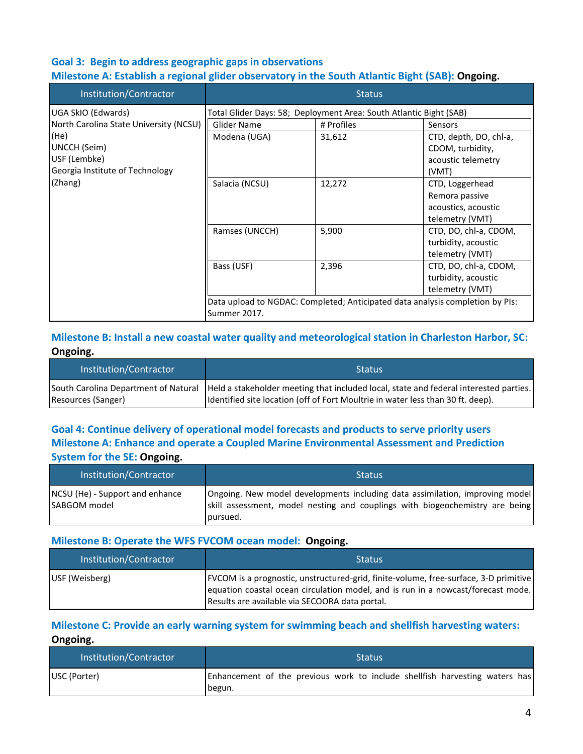## **Goal 3: Begin to address geographic gaps in observations**

#### **Milestone A: Establish a regional glider observatory in the South Atlantic Bight (SAB): Ongoing.**

| Institution/Contractor                 |                | <b>Status</b>                                                      |                                                                               |
|----------------------------------------|----------------|--------------------------------------------------------------------|-------------------------------------------------------------------------------|
| UGA SkIO (Edwards)                     |                | Total Glider Days: 58; Deployment Area: South Atlantic Bight (SAB) |                                                                               |
| North Carolina State University (NCSU) | Glider Name    | # Profiles                                                         | Sensors                                                                       |
| (He)                                   | Modena (UGA)   | 31,612                                                             | CTD, depth, DO, chl-a,                                                        |
| UNCCH (Seim)                           |                |                                                                    | CDOM, turbidity,                                                              |
| USF (Lembke)                           |                |                                                                    | acoustic telemetry                                                            |
| Georgia Institute of Technology        |                |                                                                    | (VMT)                                                                         |
| (Zhang)                                | Salacia (NCSU) | 12,272                                                             | CTD, Loggerhead                                                               |
|                                        |                |                                                                    | Remora passive                                                                |
|                                        |                |                                                                    | acoustics, acoustic                                                           |
|                                        |                |                                                                    | telemetry (VMT)                                                               |
|                                        | Ramses (UNCCH) | 5,900                                                              | CTD, DO, chl-a, CDOM,                                                         |
|                                        |                |                                                                    | turbidity, acoustic                                                           |
|                                        |                |                                                                    | telemetry (VMT)                                                               |
|                                        | Bass (USF)     | 2,396                                                              | CTD, DO, chl-a, CDOM,                                                         |
|                                        |                |                                                                    | turbidity, acoustic                                                           |
|                                        |                |                                                                    | telemetry (VMT)                                                               |
|                                        |                |                                                                    | Data upload to NGDAC: Completed; Anticipated data analysis completion by PIs: |
|                                        | Summer 2017.   |                                                                    |                                                                               |

#### **Milestone B: Install a new coastal water quality and meteorological station in Charleston Harbor, SC: Ongoing.**

| Institution/Contractor | <b>Status</b>                                                                                                              |
|------------------------|----------------------------------------------------------------------------------------------------------------------------|
|                        | South Carolina Department of Natural Held a stakeholder meeting that included local, state and federal interested parties. |
| Resources (Sanger)     | Identified site location (off of Fort Moultrie in water less than 30 ft. deep).                                            |

## **Goal 4: Continue delivery of operational model forecasts and products to serve priority users Milestone A: Enhance and operate a Coupled Marine Environmental Assessment and Prediction System for the SE: Ongoing.**

| Institution/Contractor                          | <b>Status</b>                                                                                                                                                            |
|-------------------------------------------------|--------------------------------------------------------------------------------------------------------------------------------------------------------------------------|
| NCSU (He) - Support and enhance<br>SABGOM model | Ongoing. New model developments including data assimilation, improving model<br>skill assessment, model nesting and couplings with biogeochemistry are being<br>pursued. |

#### **Milestone B: Operate the WFS FVCOM ocean model: Ongoing.**

| Institution/Contractor | <b>Status</b>                                                                                                                                                                                                                |
|------------------------|------------------------------------------------------------------------------------------------------------------------------------------------------------------------------------------------------------------------------|
| USF (Weisberg)         | [FVCOM is a prognostic, unstructured-grid, finite-volume, free-surface, 3-D primitive]<br>equation coastal ocean circulation model, and is run in a nowcast/forecast mode.<br>Results are available via SECOORA data portal. |

#### **Milestone C: Provide an early warning system for swimming beach and shellfish harvesting waters: Ongoing.**

| Institution/Contractor | <b>Status</b>                                                                          |
|------------------------|----------------------------------------------------------------------------------------|
| USC (Porter)           | Enhancement of the previous work to include shellfish harvesting waters has<br>Ibegun. |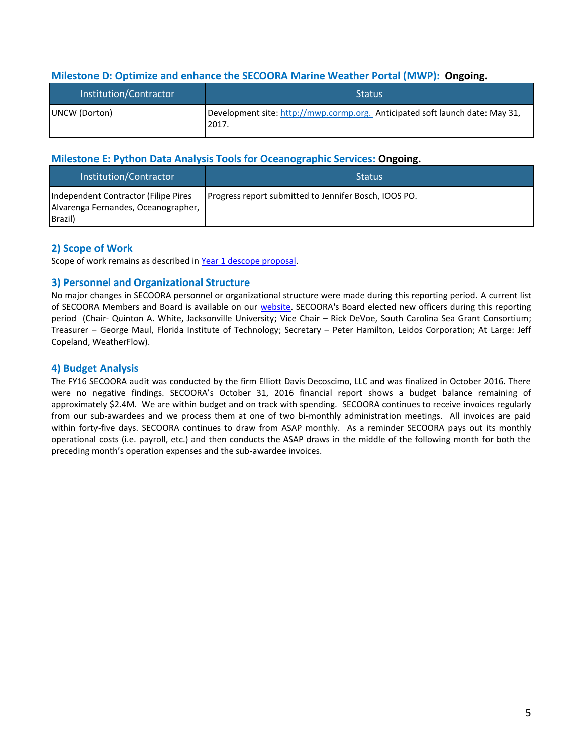#### **Milestone D: Optimize and enhance the SECOORA Marine Weather Portal (MWP): Ongoing.**

| Institution/Contractor | <b>Status</b>                                                                          |
|------------------------|----------------------------------------------------------------------------------------|
| UNCW (Dorton)          | Development site: http://mwp.cormp.org. Anticipated soft launch date: May 31,<br>2017. |

#### **Milestone E: Python Data Analysis Tools for Oceanographic Services: Ongoing.**

| Institution/Contractor                                                                 | <b>Status</b>                                         |
|----------------------------------------------------------------------------------------|-------------------------------------------------------|
| Independent Contractor (Filipe Pires<br>Alvarenga Fernandes, Oceanographer,<br>Brazil) | Progress report submitted to Jennifer Bosch, IOOS PO. |

#### **2) Scope of Work**

Scope of work remains as described i[n Year 1 descope proposal.](http://secoora.org/webfm_send/1862)

#### **3) Personnel and Organizational Structure**

No major changes in SECOORA personnel or organizational structure were made during this reporting period. A current list of SECOORA Members and Board is available on our [website.](http://secoora.org/members/board) SECOORA's Board elected new officers during this reporting period (Chair- Quinton A. White, Jacksonville University; Vice Chair – Rick DeVoe, South Carolina Sea Grant Consortium; Treasurer – George Maul, Florida Institute of Technology; Secretary – Peter Hamilton, Leidos Corporation; At Large: Jeff Copeland, WeatherFlow).

#### **4) Budget Analysis**

The FY16 SECOORA audit was conducted by the firm Elliott Davis Decoscimo, LLC and was finalized in October 2016. There were no negative findings. SECOORA's October 31, 2016 financial report shows a budget balance remaining of approximately \$2.4M. We are within budget and on track with spending. SECOORA continues to receive invoices regularly from our sub-awardees and we process them at one of two bi-monthly administration meetings. All invoices are paid within forty-five days. SECOORA continues to draw from ASAP monthly. As a reminder SECOORA pays out its monthly operational costs (i.e. payroll, etc.) and then conducts the ASAP draws in the middle of the following month for both the preceding month's operation expenses and the sub-awardee invoices.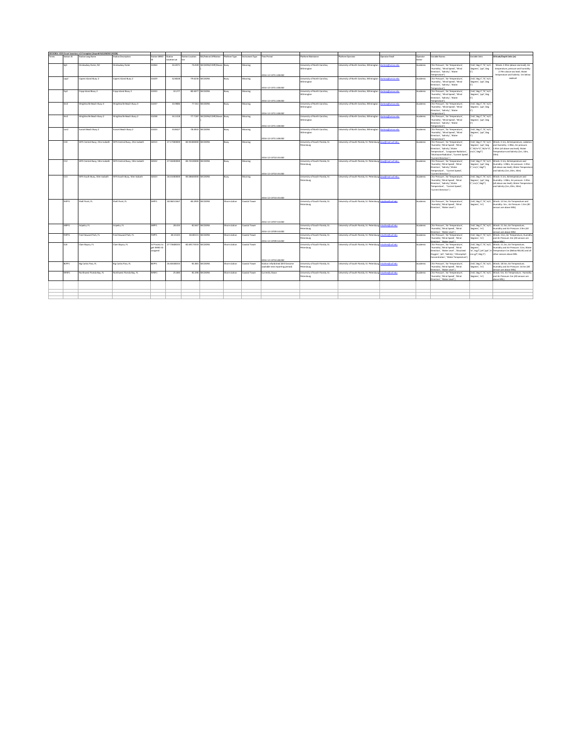| Station ID          | SECOORA: IOOS Asset Inventory v1.0 template (Award# NA16NO50120028)<br>Station Long Name | <b>Ration Description</b>     | <b>Station WMO</b>                      | Station<br>Location Lat | <b>Ration Location</b>      | RA/Federal Affiliation | fatform Type  | strument Type        | Time Period                                                          | <b>Satform Maintaines</b>                           | fatform Operator                                                | perator Email                                                                                                                                                                                                                                    | boerato<br>arter. | ariable Names                                                                                                                                                                                                                                         | fariable Units                                                                     | iltitude/Depth Units (m)                                                                                                                                                                                     |
|---------------------|------------------------------------------------------------------------------------------|-------------------------------|-----------------------------------------|-------------------------|-----------------------------|------------------------|---------------|----------------------|----------------------------------------------------------------------|-----------------------------------------------------|-----------------------------------------------------------------|--------------------------------------------------------------------------------------------------------------------------------------------------------------------------------------------------------------------------------------------------|-------------------|-------------------------------------------------------------------------------------------------------------------------------------------------------------------------------------------------------------------------------------------------------|------------------------------------------------------------------------------------|--------------------------------------------------------------------------------------------------------------------------------------------------------------------------------------------------------------|
| leith               | Onslowbay Outer, NC                                                                      | <b>Onslowbay Outer</b>        | 41064                                   | 34,2071                 | $-76.949$                   | SECOORA/CDIP/Waves     | Buoy          | Mooring              | 2016-12-13T11.08.002                                                 | Iniversity of North Carolina.<br>Wilminston         | <b>Jniversity of North Carolina, Wilminston</b>                 | rtoni@uncw.edu                                                                                                                                                                                                                                   | Academic          | "Air Pressure", "Air Temperature",<br>Humidity', 'Wind Speed', 'Wind<br>Direction', 'Salinity', 'Water<br>("emperature")                                                                                                                              | mb', deg C', %','m/s'<br>degrees', 'ppt', 'deg                                     | Winds: 2.95m (above sea level): Air<br>temneratura nressure and humidity<br>2.79m above sea level: Water<br>temperature and Salinity: 1m below                                                               |
| cap2                | Capers Island Buoy 2                                                                     | Capers Island Buoy 2          | 41029                                   | 32,8028                 | $-79.6236$                  | <b>SECOORA</b>         | Buoy          | Mooring              | 2016-12-13T11-08-007                                                 | <b>Iniversity of North Carolina</b><br>Wilminston   | Jniversity of North Carolina, Wilmington                        | ortoni@uncw.edu                                                                                                                                                                                                                                  | Academic          | [Air Pressure', 'Air Temperature',<br>Humidity', 'Wind Speed', 'Wind<br>Direction', 'Salinity', 'Water<br>Censtereme                                                                                                                                  | mb', deg C', %','m/s'<br>degrees', 'ppt', deg                                      | coolesed                                                                                                                                                                                                     |
| fro2                | Fripp Island Bouy 2                                                                      | <b>frigo Island Bouy 2</b>    | 41033                                   | 32.27                   |                             | -80,4077 SECOORA       | Buoy          | Mooring              | 2016-12-13T11.08.002                                                 | University of North Carolina.<br>Vilminaton         | Jniversity of North Carolina, Wilmington                        | lortonj@uncw.edu                                                                                                                                                                                                                                 | Academic          | ("Air Pressure", "Air Temperature",<br>Humidity', 'Wind Speed', 'Wind<br>Direction', 'Salinity', 'Water                                                                                                                                               | ('mb','deg C','%','m/s',<br>degrees', 'ppt', 'deg                                  |                                                                                                                                                                                                              |
| ilm3                | Wrightsville Beach Buoy 3                                                                | Wrightsville Beach Buoy 3     | 41037                                   | 33,9886                 |                             | -77.361 SECOORA        | <b>buon</b>   | Mooring              |                                                                      | University of North Carolina.<br>Miminaton          | <b>Jniversity of North Carolina, Wilminaton</b>                 | <b><i><u>Charles Charles and The Contractory Company and Charles and Charles and Charles and Charles and Charles and Charles and Charles and Charles and Charles and Charles and Charles and Charles and Charles and Charles and Cha</u></i></b> | <b>Academic</b>   | ("emperature")<br>CAir Pressure', 'Air Temperature',<br>'Humidity', 'Wind Speed', 'Wind<br>Direction', 'Salinity', 'Water                                                                                                                             | ('mb','deg C','%','m/s',<br>'degrees', 'ppt','deg                                  |                                                                                                                                                                                                              |
| ilm2                | Wrightsville Beach Buoy 2                                                                | Wrightsville Beach Buoy 2     | 41038                                   | 34.1418                 | $-77.7187$                  | SECOORA/CDIP/Wayes     | Buoy          | Acoring              | 2016-12-13T11.08.002                                                 | Injurish of North Camlina<br>Milminaton             | <b>Jniversity of North Carolina</b> , Wilmington                | ortonj@uncw.edu                                                                                                                                                                                                                                  | <b>Academic</b>   | ("ensteredne<br>CAir Pressure', 'Air Temperature',<br>IvelW" "Wind Search Winds<br>Direction', 'Salinity', 'Water                                                                                                                                     | ('mb','deg C','%','m/s',<br>'degrees', 'ppt','deg                                  |                                                                                                                                                                                                              |
| sun2                | Sunset Beach Budy 2                                                                      | unset Beach Buoy 2            | 41024                                   | 33.8427                 | $-78.4932$                  | SECOORA                | Buoy          | Acoring              | 2016-12-13T11.08.002                                                 | <b>Jniversity of North Carolina</b> ,<br>Vilminaton | Iniversity of North Carolina, Wilmington                        | <b>The Street of</b>                                                                                                                                                                                                                             | Academic          | ("engineeration")<br>("Air Pressure", "Air Temperature",<br>fumidity', 'Wind Speed', 'Wind<br>Direction', 'Salinity', 'Water                                                                                                                          | ('mb','deg C','%','m/s')<br>degrees', 'ppt', deg                                   |                                                                                                                                                                                                              |
| cin                 | WFS Central Buoy, 25m Isobath                                                            | WFS Central Buoy, 25m Isobath | 42013                                   | 27.17300000             | -82.92400000 SECOORA        |                        | Buoy          | Mooring              | 2016-12-13711-08-002<br>2016-12-13T10:35-002                         | University of South Florida, St.<br>Petersburg      | University of South Florida, St. Petersbunt Haw@mail.usf.edu:   |                                                                                                                                                                                                                                                  | Academic          | mmeratura <sup>n</sup><br>CAir Pressure', 'Air Temperature',<br>Humidity', 'Wind Speed', 'Wind<br>Direction', 'Salinity', 'Water<br>Temperature', 'Longwave Radiation',<br>'Shortwave Radiation', 'Current Speed'<br>Current Direction <sup>2</sup> 3 | 'degrees', 'ppt','deg<br>cm/s", degT")                                             | ('mb'.'dee C'.'%'.'m/s'. Winds: 3.1m: Airtemperature, radiation<br>and Humidity: 1.98m; Air pressure:<br>C.'W/m*2'.'W/m*2'.' 1.93m (all above sea level): Water<br>Temperature and Salinity (1m, 10m,<br>19m |
| $c_{12}$            | WFS Central Buoy, 50m Isobath WFS Central Buoy, 50m Isobath                              |                               | 42022                                   | 27,50400000             | -83.74100000 SECOORA        |                        | Buoy          | Mooring              |                                                                      | University of South Florida, St.<br>Petersburg      | University of South Florida, St. Petersburg Line/Rmail.usf.edu: |                                                                                                                                                                                                                                                  | Academic          | CAir Pressure', 'Air Temperature',<br><b>Maintain Teacher Personal Patients</b><br>Direction', 'Salinity','Water<br>Temperature'. 'Current Speed'.                                                                                                    | degrees', 'ppt','deg<br>C, cm/s', degT')                                           | mb', deg C', 'K', 'm/s', Winds: 3.1m; Airtemperature and<br>Humidity: 1.98m; Air pressure: 1.93m<br>(all above sea level): Water Temperature<br>and Salinity (1m. 20m. 30m)                                  |
| C13                 | WFS South Budy, SOm Isobath                                                              | WFS South Buoy, 50m Isobath   | 42023                                   | 26.01000000             | -83.08600000 SECOORA        |                        | Buoy          | Mooring              | 0016-12-13T10:35-002<br>2016-12-13T10:35-002                         | Injurish of South Rocida St<br>Netersburg           | University of South Florida, St. Petersburg                     | aw@mailusf.edu;                                                                                                                                                                                                                                  | Academic          | Lyrrent Direction' 1<br>("Air Pressure", "Air Temperature",<br><b>Inches Trapp Inches Vehiclesch</b><br>Direction', 'Salinity','Water<br>Temperature'. 'Current Speed'.<br>'Current Direction' )                                                      | mb','deg C','%','m/s',<br>degrees', 'ppt','deg<br>C'om/s'/deaT'l                   | Winds: 3 1m; Airtemnerature and<br>Humidity: 1.98m; Air pressure: 1.93m<br>fall above sea level): Water Temperature<br>and Salinity (1m, 20m, 30m)                                                           |
| SHPF1               | Shell Point, FL                                                                          | Shell Point, FL               | SHPF1                                   | 30.06011667             |                             | -84.2005 SECOORA       | hore station  | <b>Coastal Tower</b> | 2016-12-13T07:54:002                                                 | University of South Florida, St.<br>Petersburg      | University of South Florida, St. Petersburg mluther@usf.edu     |                                                                                                                                                                                                                                                  | Academic          | ("Air Pressure", "Air Temperature",<br>Humidity'.'Wind Speed'. 'Wind<br>Direction', 'Water Level' )                                                                                                                                                   | mb','deg C','%','m/s',<br>'degrees', 'm')                                          | Winds: 12.5m; Air Temperature and<br>Humidity: Sm ; Air Pressure: 1.5m (All<br>sensors are above MSL)                                                                                                        |
| ABDF1               | Aripeka, FL                                                                              | Aripeka, FL                   | 4/09/11                                 | 28.433                  | $-82.667$                   | SECOORA                | Shore station | <b>Castal Tower</b>  | 2016-12-13T09:54:002                                                 | University of South Florida, St.<br>Netersburg      | <b>Jniversity of South Florida, St. Petersburg</b>              | nluther@usf.edu                                                                                                                                                                                                                                  | Academic          | CAir Pressure', 'Air Temperature',<br>Humidity', 'Wind Speed', 'Wind<br>irection'. 'Water Level' 1                                                                                                                                                    | degrees', 'm')                                                                     | mb', deg C', %', 'm/s', Winds: 11.3m; Air Temperature,<br>Humidity and Air Pressure: 2.9m (All<br>sors are above MSL)                                                                                        |
| FHPF1<br><b>CLB</b> | Fred Howard Park, FL                                                                     | red Howard Park, FL           | FHPF1                                   | 28.15325<br>27.73608333 | $-82.80115$<br>-82.69173333 | SECOORA<br>SECOORA     | hore station  | <b>Oastal Tower</b>  | 2016-12-13T09:54:002                                                 | Iniversity of South Florida, St.<br>wtensburg       | <b>Jniversity of South Florida, St. Petersburg</b>              | <b><i><u>Entrancia del arti</u></i></b><br>huther@usf.edu                                                                                                                                                                                        | Academic          | CAir Pressure', 'Air Temperature',<br>fumidity','Wind Speed', 'Wind<br>setion' "Water Lease" 1<br>CAir Pressure', 'Air Temperature',                                                                                                                  | degrees', 'm')                                                                     | ('mb'.'dee C'.'%'.'m/s'. Winds: 11m: Air Temperature. Humidity<br>and Air Pressure: 4m (All sensors are<br><b>COLLEGE</b><br>Winds: 11 2m; Air Temperature                                                   |
|                     | Clam Bayou, FL                                                                           | Clam Bayou, FL                | In Process to<br>est WMO ID<br>assigned |                         |                             |                        | hore station  | <b>Oastal Tower</b>  | 2016-12-13T10-48-002                                                 | University of South Florida, St.<br>Petersburg      | Jniversity of South Florida, St. Petersburg                     |                                                                                                                                                                                                                                                  | Academic          | Humidity'.'Wind Speed'. 'Wind<br>Direction', 'Water Level', 'Dissolved<br>Oxygen', 'pH', 'Salinity', 'Chlorophyll<br>Concentration', 'Water Temperature')                                                                                             | mb', deg C', %', 'm/s'<br>degrees',<br>m'.'ma/l'.'eH'.'eef'.'<br>(Cro g/T, deg C') | <b>bunidity and Air Drassura: 11m; Water</b><br>Temperature 1m (Below MLLW) and all<br>other sensors above MSL                                                                                               |
| BCPF1               | Big Carlos Pass, FL                                                                      | Big Carlos Pass, FL           | BCPF1                                   | 26.40448333             |                             | -81.881 SECOORA        | Shore station | <b>Castal Tower</b>  | Station refurbished (Will become<br>available next reporting period) | University of South Florida, St.<br>Petersburg      | University of South Florida, St. Petersburg                     | nluther@usf.edu                                                                                                                                                                                                                                  | Academic          | ("Air Pressure", "Air Temperature",<br>Humidity', 'Wind Speed', 'Wind<br>irection', 'Water Level' 1                                                                                                                                                   | mb','deg C','%','m/s',<br>degrees', 'm')                                           | Winds: 18.5m; Air Temperature,<br>Humidity and Air Pressure: 14.5m (All<br>sors are above MSL)                                                                                                               |
| NFBF1               | Northwest Florida Bay, FL                                                                | Northwest Florida Bay, FL     | NFBF1                                   | 25.084                  |                             | -81.096 SECOORA        | Shore station | <b>Oastal Tower</b>  | Currently Down                                                       | University of South Florida, St.<br>vtenburg        | University of South Florida, St. Petersburg                     | nluther@usf.edu                                                                                                                                                                                                                                  | Academic          | ("Air Pressure", "Air Temperature",<br>fumidity'.'Wind Speed'. 'Wind<br>Jirection', 'Water Level' 1                                                                                                                                                   | (hr); degrees                                                                      | mb', deg C', '%', 'm/s', Winds: Sm; Air Temperature, Humidity<br>and Air Pressure: 5m (All sensors are<br>ahnus MSL)                                                                                         |
|                     |                                                                                          |                               |                                         |                         |                             |                        |               |                      |                                                                      |                                                     |                                                                 |                                                                                                                                                                                                                                                  |                   |                                                                                                                                                                                                                                                       |                                                                                    |                                                                                                                                                                                                              |
|                     |                                                                                          |                               |                                         |                         |                             |                        |               |                      |                                                                      |                                                     |                                                                 |                                                                                                                                                                                                                                                  |                   |                                                                                                                                                                                                                                                       |                                                                                    |                                                                                                                                                                                                              |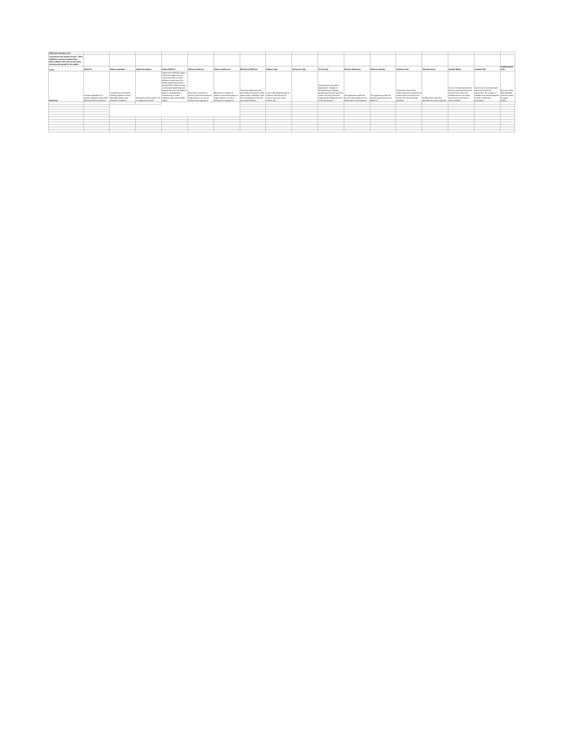| 1005 Asset Inventory v1.0                      |                                |                              |                                     |                               |                                 |                               |                                                              |               |                 |                                                              |                            |                           |                                 |                                                 |                                                               |                                 |                  |
|------------------------------------------------|--------------------------------|------------------------------|-------------------------------------|-------------------------------|---------------------------------|-------------------------------|--------------------------------------------------------------|---------------|-----------------|--------------------------------------------------------------|----------------------------|---------------------------|---------------------------------|-------------------------------------------------|---------------------------------------------------------------|---------------------------------|------------------|
| WASHINGTON, CONTINUES AND ARRESTS AND ARRESTS. |                                |                              |                                     |                               |                                 |                               |                                                              |               |                 |                                                              |                            |                           |                                 |                                                 |                                                               |                                 |                  |
| not posted in the website version. These       |                                |                              |                                     |                               |                                 |                               |                                                              |               |                 |                                                              |                            |                           |                                 |                                                 |                                                               |                                 |                  |
| definitions need to be arreed upon             |                                |                              |                                     |                               |                                 |                               |                                                              |               |                 |                                                              |                            |                           |                                 |                                                 |                                                               |                                 |                  |
| before added to the next version of the        |                                |                              |                                     |                               |                                 |                               |                                                              |               |                 |                                                              |                            |                           |                                 |                                                 |                                                               |                                 |                  |
| inventory and gosted to the website.           |                                |                              |                                     |                               |                                 |                               |                                                              |               |                 |                                                              |                            |                           |                                 |                                                 |                                                               |                                 |                  |
|                                                |                                |                              |                                     |                               |                                 |                               |                                                              |               |                 |                                                              |                            |                           |                                 |                                                 |                                                               |                                 | Altitude/Degth   |
| Tems                                           | Station ID                     | <b>Station Long Name</b>     | Station Description                 | Station WMO ID                | Station Location Lat            | Station Legation Lon          | <b>RA/Federal Affiliation</b>                                | Platform Type | Instrument Type | Time Period                                                  | <b>Platform Maintainer</b> | <b>Platform Operator</b>  | Operator Email                  | Operator Sector                                 | Variable Names                                                | <b>Mariable Holtz</b>           | <b>Units</b>     |
|                                                |                                |                              |                                     | Organization (WMO) assigns a  |                                 |                               |                                                              |               |                 |                                                              |                            |                           |                                 |                                                 |                                                               |                                 |                  |
|                                                |                                |                              |                                     | 5-character alpha-numeric     |                                 |                               |                                                              |               |                 |                                                              |                            |                           |                                 |                                                 |                                                               |                                 |                  |
|                                                |                                |                              |                                     | imation identifier to ocean.  |                                 |                               |                                                              |               |                 |                                                              |                            |                           |                                 |                                                 |                                                               |                                 |                  |
|                                                |                                |                              |                                     | platforms reporting on the    |                                 |                               |                                                              |               |                 |                                                              |                            |                           |                                 |                                                 |                                                               |                                 |                  |
|                                                |                                |                              |                                     | Global Talanommunication      |                                 |                               |                                                              |               |                 |                                                              |                            |                           |                                 |                                                 |                                                               |                                 |                  |
|                                                |                                |                              |                                     | System (GTS), WMO numbers.    |                                 |                               |                                                              |               |                 | Time period of the station                                   |                            |                           |                                 |                                                 |                                                               |                                 |                  |
|                                                |                                |                              |                                     | are allocated depending upon  |                                 |                               |                                                              |               |                 | dealeyment, Changes to                                       |                            |                           |                                 |                                                 | A list of observed parameters A list of units associated with |                                 |                  |
|                                                |                                |                              |                                     | deployment area, and platform |                                 |                               | The RA for federal partner!                                  |               |                 | DescribeSensor metadata                                      |                            |                           | The contact email of the        |                                                 | that we associated with each                                  | each of the observed            | The units of the |
|                                                |                                | Long name or description:    |                                     | type (i.e. drifting buoys,    | Bounds for a network of         | Bounds for a network of       | with which the provider of the A term describing the type of |               |                 | should reset the time period of                              |                            |                           | station contatoris). May be the |                                                 | station. Each station has                                     | parameters. The number of       | altitude/depth   |
|                                                | A unique identifier for a      | typically applied to assets. |                                     | moored buoys, ocean           | stations, the goint location of | stations, the goint location  | station data is affiliated. There glatform that houses the   |               |                 | record. The end of the time                                  | The organization with the  | The organization that has | station owner as well, but an   |                                                 | multiple sensors, and each                                    | variable units should equal the | used for sensors |
|                                                | station, specified using a URN | expecially stations and      | Deposited as a diffuse market. This | reference sites, and profiles | single stations, or a list of   | single stations, or a list of | are no implications from this sensors (e.g. buoy, shore      |               |                 | range should indicate the time grimary responsibiliy for the |                            | primary penership for the | parter role is not currently    | Contained against their buys                    | sensor may record one or                                      | number of observed              | at a given       |
| <b>Definitions</b>                             | following IOOS conventions.    | networks of stations         | is realatively free form            | floats)                       | locations for trainctories      | locations for trainctories    | yery loose affiliation.                                      | station, etc) |                 | of last observation                                          | maintenance of the glatorm | platform                  | specified.                      | describes the station operator   more variables |                                                               | parameters                      | station          |
|                                                |                                |                              |                                     |                               |                                 |                               |                                                              |               |                 |                                                              |                            |                           |                                 |                                                 |                                                               |                                 |                  |
|                                                |                                |                              |                                     |                               |                                 |                               |                                                              |               |                 |                                                              |                            |                           |                                 |                                                 |                                                               |                                 |                  |
|                                                |                                |                              |                                     |                               |                                 |                               |                                                              |               |                 |                                                              |                            |                           |                                 |                                                 |                                                               |                                 |                  |
|                                                |                                |                              |                                     |                               |                                 |                               |                                                              |               |                 |                                                              |                            |                           |                                 |                                                 |                                                               |                                 |                  |
|                                                |                                |                              |                                     |                               |                                 |                               |                                                              |               |                 |                                                              |                            |                           |                                 |                                                 |                                                               |                                 |                  |
|                                                |                                |                              |                                     |                               |                                 |                               |                                                              |               |                 |                                                              |                            |                           |                                 |                                                 |                                                               |                                 |                  |
|                                                |                                |                              |                                     |                               |                                 |                               |                                                              |               |                 |                                                              |                            |                           |                                 |                                                 |                                                               |                                 |                  |
|                                                |                                |                              |                                     |                               |                                 |                               |                                                              |               |                 |                                                              |                            |                           |                                 |                                                 |                                                               |                                 |                  |
|                                                |                                |                              |                                     |                               |                                 |                               |                                                              |               |                 |                                                              |                            |                           |                                 |                                                 |                                                               |                                 |                  |
|                                                |                                |                              |                                     |                               |                                 |                               |                                                              |               |                 |                                                              |                            |                           |                                 |                                                 |                                                               |                                 |                  |
|                                                |                                |                              |                                     |                               |                                 |                               |                                                              |               |                 |                                                              |                            |                           |                                 |                                                 |                                                               |                                 |                  |
|                                                |                                |                              |                                     |                               |                                 |                               |                                                              |               |                 |                                                              |                            |                           |                                 |                                                 |                                                               |                                 |                  |
|                                                |                                |                              |                                     |                               |                                 |                               |                                                              |               |                 |                                                              |                            |                           |                                 |                                                 |                                                               |                                 |                  |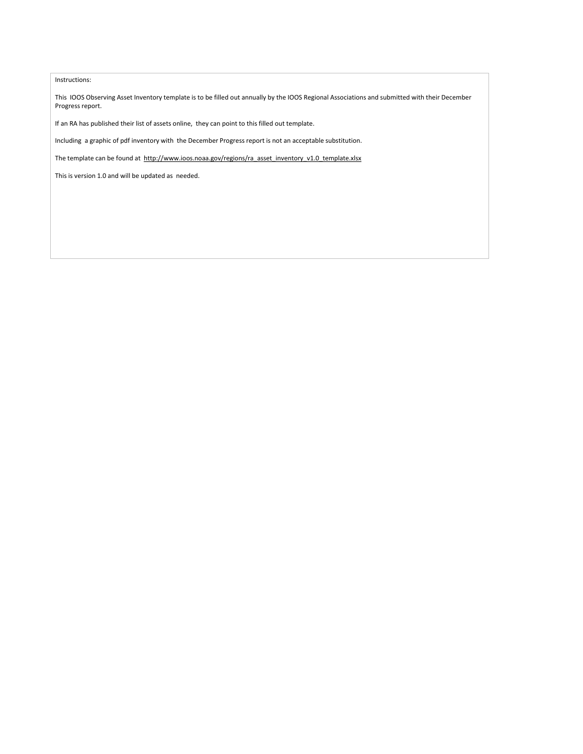#### Instructions:

This IOOS Observing Asset Inventory template is to be filled out annually by the IOOS Regional Associations and submitted with their December Progress report.

If an RA has published their list of assets online, they can point to this filled out template.

Including a graphic of pdf inventory with the December Progress report is not an acceptable substitution.

The template can be found at http://www.ioos.noaa.gov/regions/ra\_asset\_inventory\_v1.0\_template.xlsx

This is version 1.0 and will be updated as needed.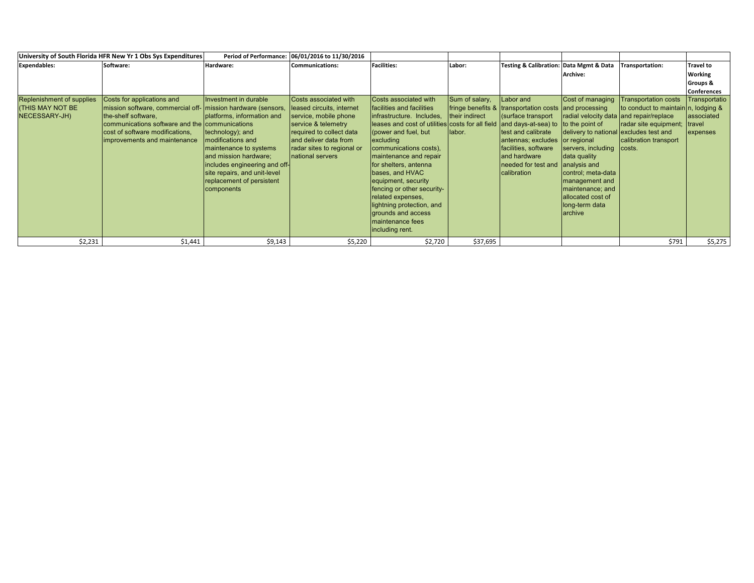|                                                                       | University of South Florida HFR New Yr 1 Obs Sys Expenditures                                                                                                                                                                          | <b>Period of Performance:</b>                                                                                                                                                                                                                                | 06/01/2016 to 11/30/2016                                                                                                                                                                                   |                                                                                                                                                                                                                                                                                                                                                                                                                                                     |                                            |                                                                                                                                                                                                                                                                                     |                                                                                                                                                                                                                                                           |                                                                                                                                |                                                   |
|-----------------------------------------------------------------------|----------------------------------------------------------------------------------------------------------------------------------------------------------------------------------------------------------------------------------------|--------------------------------------------------------------------------------------------------------------------------------------------------------------------------------------------------------------------------------------------------------------|------------------------------------------------------------------------------------------------------------------------------------------------------------------------------------------------------------|-----------------------------------------------------------------------------------------------------------------------------------------------------------------------------------------------------------------------------------------------------------------------------------------------------------------------------------------------------------------------------------------------------------------------------------------------------|--------------------------------------------|-------------------------------------------------------------------------------------------------------------------------------------------------------------------------------------------------------------------------------------------------------------------------------------|-----------------------------------------------------------------------------------------------------------------------------------------------------------------------------------------------------------------------------------------------------------|--------------------------------------------------------------------------------------------------------------------------------|---------------------------------------------------|
| <b>Expendables:</b>                                                   | Software:                                                                                                                                                                                                                              | Hardware:                                                                                                                                                                                                                                                    | Communications:                                                                                                                                                                                            | <b>Facilities:</b>                                                                                                                                                                                                                                                                                                                                                                                                                                  | Labor:                                     | Testing & Calibration: Data Mgmt & Data                                                                                                                                                                                                                                             |                                                                                                                                                                                                                                                           | Transportation:                                                                                                                | <b>Travel to</b>                                  |
|                                                                       |                                                                                                                                                                                                                                        |                                                                                                                                                                                                                                                              |                                                                                                                                                                                                            |                                                                                                                                                                                                                                                                                                                                                                                                                                                     |                                            |                                                                                                                                                                                                                                                                                     | Archive:                                                                                                                                                                                                                                                  |                                                                                                                                | Working                                           |
|                                                                       |                                                                                                                                                                                                                                        |                                                                                                                                                                                                                                                              |                                                                                                                                                                                                            |                                                                                                                                                                                                                                                                                                                                                                                                                                                     |                                            |                                                                                                                                                                                                                                                                                     |                                                                                                                                                                                                                                                           |                                                                                                                                | Groups &                                          |
|                                                                       |                                                                                                                                                                                                                                        |                                                                                                                                                                                                                                                              |                                                                                                                                                                                                            |                                                                                                                                                                                                                                                                                                                                                                                                                                                     |                                            |                                                                                                                                                                                                                                                                                     |                                                                                                                                                                                                                                                           |                                                                                                                                | <b>Conferences</b>                                |
| Replenishment of supplies<br><b>(THIS MAY NOT BE</b><br>NECESSARY-JH) | Costs for applications and<br>mission software, commercial off- mission hardware (sensors,<br>the-shelf software,<br>communications software and the communications<br>cost of software modifications.<br>improvements and maintenance | Investment in durable<br>platforms, information and<br>technology); and<br>modifications and<br>maintenance to systems<br>land mission hardware:<br>includes engineering and off-<br>site repairs, and unit-level<br>replacement of persistent<br>components | Costs associated with<br>leased circuits, internet<br>service, mobile phone<br>service & telemetry<br>required to collect data<br>and deliver data from<br>radar sites to regional or<br>Inational servers | Costs associated with<br><b>facilities and facilities</b><br>infrastructure. Includes,<br>leases and cost of utilities costs for all field<br>(power and fuel, but<br>excluding<br>communications costs),<br>maintenance and repair<br>for shelters, antenna<br>bases, and HVAC<br>equipment, security<br>fencing or other security-<br>related expenses,<br>lightning protection, and<br>grounds and access<br>maintenance fees<br>including rent. | Sum of salary,<br>their indirect<br>labor. | Labor and<br>fringe benefits & transportation costs and processing<br>(surface transport)<br>and days-at-sea) to to the point of<br>test and calibrate<br>antennas; excludes or regional<br>facilities, software<br>and hardware<br>needed for test and analysis and<br>calibration | Cost of managing<br>radial velocity data and repair/replace<br>delivery to national excludes test and<br>servers, including<br>data quality<br>control; meta-data<br>management and<br>maintenance; and<br>allocated cost of<br>long-term data<br>archive | <b>Transportation costs</b><br>to conduct to maintain n, lodging &<br>radar site equipment;<br>calibration transport<br>costs. | Transportatio<br>associated<br>travel<br>expenses |
| \$2,231                                                               | \$1,441                                                                                                                                                                                                                                | \$9,143                                                                                                                                                                                                                                                      | \$5,220                                                                                                                                                                                                    | \$2,720                                                                                                                                                                                                                                                                                                                                                                                                                                             | \$37,695                                   |                                                                                                                                                                                                                                                                                     |                                                                                                                                                                                                                                                           | \$791                                                                                                                          | \$5,275                                           |
|                                                                       |                                                                                                                                                                                                                                        |                                                                                                                                                                                                                                                              |                                                                                                                                                                                                            |                                                                                                                                                                                                                                                                                                                                                                                                                                                     |                                            |                                                                                                                                                                                                                                                                                     |                                                                                                                                                                                                                                                           |                                                                                                                                |                                                   |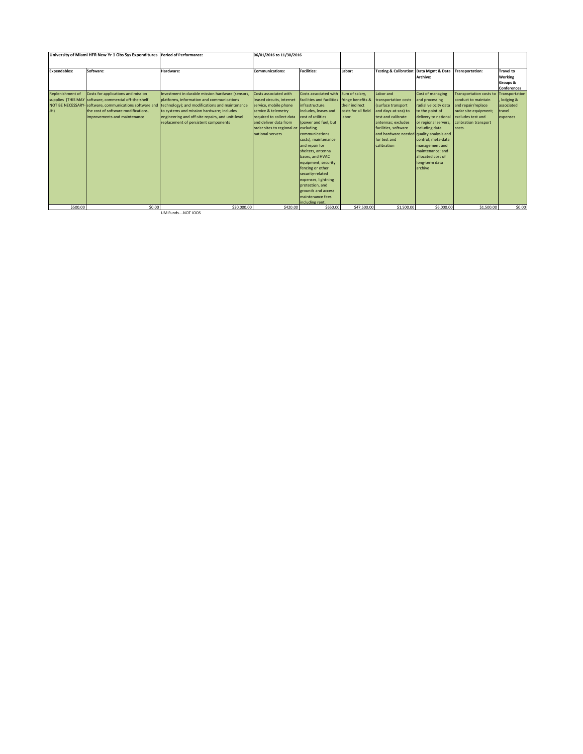| Software:<br><b>Facilities:</b><br>Hardware:<br><b>Communications:</b><br>Labor:<br>Testing & Calibration: Data Mgmt & Data<br><b>Transportation:</b><br>Archive:<br>Costs for applications and mission<br>Investment in durable mission hardware (sensors,<br>Costs associated with<br>Costs associated with Sum of salary,<br>Labor and<br>Cost of managing<br>Transportation costs to<br>supplies (THIS MAY software, commercial off-the-shelf<br>platforms, information and communications<br>facilities and facilities fringe benefits &<br>leased circuits, internet<br>and processing<br>conduct to maintain<br>transportation costs<br>NOT BE NECESSARY-Software, communications software and<br>their indirect<br>technology); and modifications and maintenance<br>(surface transport<br>radial velocity data<br>and repair/replace<br>service, mobile phone<br>infrastructure.<br>the cost of software modifications.<br>to systems and mission hardware: includes<br>costs for all field<br>service & telemetry<br>Includes, leases and<br>and days-at-sea) to<br>to the point of<br>radar site equipment;<br>travel<br>engineering and off-site repairs, and unit-level<br>improvements and maintenance<br>required to collect data<br>cost of utilities<br>labor.<br>test and calibrate<br>delivery to national<br>excludes test and |                                | University of Miami HFR New Yr 1 Obs Sys Expenditures | <b>Period of Performance:</b> | 06/01/2016 to 11/30/2016 |  |  |                                                               |
|----------------------------------------------------------------------------------------------------------------------------------------------------------------------------------------------------------------------------------------------------------------------------------------------------------------------------------------------------------------------------------------------------------------------------------------------------------------------------------------------------------------------------------------------------------------------------------------------------------------------------------------------------------------------------------------------------------------------------------------------------------------------------------------------------------------------------------------------------------------------------------------------------------------------------------------------------------------------------------------------------------------------------------------------------------------------------------------------------------------------------------------------------------------------------------------------------------------------------------------------------------------------------------------------------------------------------------------------------|--------------------------------|-------------------------------------------------------|-------------------------------|--------------------------|--|--|---------------------------------------------------------------|
|                                                                                                                                                                                                                                                                                                                                                                                                                                                                                                                                                                                                                                                                                                                                                                                                                                                                                                                                                                                                                                                                                                                                                                                                                                                                                                                                                    | <b>Expendables:</b>            |                                                       |                               |                          |  |  | <b>Travel to</b><br>Working<br>Groups &<br><b>Conferences</b> |
| replacement of persistent components<br>and deliver data from<br>(power and fuel, but<br>antennas; excludes<br>or regional servers,<br>calibration transport<br>including data<br>excluding<br>facilities, software<br>radar sites to regional or<br>costs.<br>national servers<br>and hardware needed quality analysis and<br>communications<br>costs), maintenance<br>control: meta-data<br>for test and<br>and repair for<br>calibration<br>management and<br>shelters, antenna<br>maintenance: and<br>bases, and HVAC<br>allocated cost of<br>equipment, security<br>long-term data<br>fencing or other<br>larchive<br>security-related<br>expenses, lightning<br>protection, and<br>grounds and access<br>maintenance fees<br>including rent.                                                                                                                                                                                                                                                                                                                                                                                                                                                                                                                                                                                                 | <b>Replenishment of</b><br>JH) |                                                       |                               |                          |  |  | Transportation<br>lodging &<br>associated<br>expenses         |
| \$500.00<br>\$30,000.00<br>\$420.00<br>\$650.00<br>\$47,500.00<br>\$1,500.00<br>\$6,000.00<br>\$1,500.00<br>\$0.00                                                                                                                                                                                                                                                                                                                                                                                                                                                                                                                                                                                                                                                                                                                                                                                                                                                                                                                                                                                                                                                                                                                                                                                                                                 |                                |                                                       |                               |                          |  |  | \$0.00                                                        |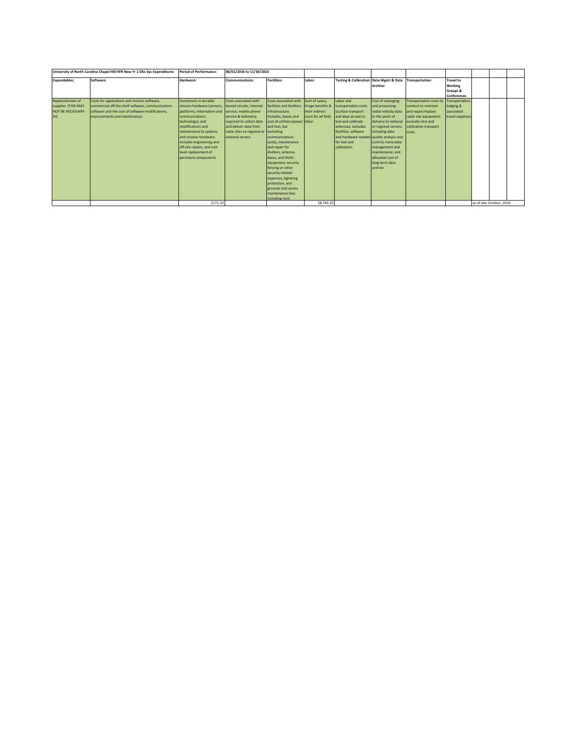|                          | University of North Carolina Chapel Hill HFR New Yr 1 Obs Sys Expenditures | <b>Period of Performance:</b> | 06/01/2016 to 11/30/2016             |                                             |                     |                                          |                                         |                                |                    |                          |  |
|--------------------------|----------------------------------------------------------------------------|-------------------------------|--------------------------------------|---------------------------------------------|---------------------|------------------------------------------|-----------------------------------------|--------------------------------|--------------------|--------------------------|--|
| <b>Expendables:</b>      | Software:                                                                  | Hardware:                     | <b>Communications:</b>               | <b>Facilities:</b>                          | Labor:              |                                          | Testing & Calibration: Data Mgmt & Data | Transportation:                | <b>Travel to</b>   |                          |  |
|                          |                                                                            |                               |                                      |                                             |                     |                                          | Archive:                                |                                | Working            |                          |  |
|                          |                                                                            |                               |                                      |                                             |                     |                                          |                                         |                                | Groups &           |                          |  |
|                          |                                                                            |                               |                                      |                                             |                     |                                          |                                         |                                | <b>Conferences</b> |                          |  |
| Replenishment of         | Costs for applications and mission software,                               | Investment in durable         | Costs associated with                | Costs associated with Sum of salary,        |                     | Labor and                                | Cost of managing                        | <b>Transportation costs to</b> | Transportation     |                          |  |
| supplies (THIS MAY       | commercial off-the-shelf software, communications                          | mission hardware (sensors,    | leased circuits, internet            | facilities and facilities fringe benefits & |                     | transportation costs                     | and processing                          | conduct to maintain            | lodging &          |                          |  |
| <b>NOT BE NECESSARY-</b> | software and the cost of software modifications.                           | platforms, information and    | service, mobile phone                | infrastructure.                             | their indirect      | (surface transport                       | radial velocity data                    | and repair/replace             | associated         |                          |  |
| JH)                      | improvements and maintenance                                               | communications                | service & telemetry                  | Includes, leases and                        | costs for all field | and days-at-sea) to                      | to the point of                         | radar site equipment;          | travel expenses    |                          |  |
|                          |                                                                            | technology); and              | required to collect data             | cost of utilities (power labor.             |                     | test and calibrate                       | delivery to national                    | excludes test and              |                    |                          |  |
|                          |                                                                            | modifications and             | and deliver data from                | and fuel, but                               |                     | antennas: excludes                       | or regional servers,                    | calibration transport          |                    |                          |  |
|                          |                                                                            | maintenance to systems        | radar sites to regional or excluding |                                             |                     | facilities, software                     | including data                          | costs.                         |                    |                          |  |
|                          |                                                                            | and mission hardware:         | national servers                     | communications                              |                     | and hardware needed quality analysis and |                                         |                                |                    |                          |  |
|                          |                                                                            | includes engineering and      |                                      | costs), maintenance                         |                     | for test and                             | control: meta-data                      |                                |                    |                          |  |
|                          |                                                                            | off-site repairs, and unit-   |                                      | and repair for                              |                     | calibration                              | management and                          |                                |                    |                          |  |
|                          |                                                                            | level replacement of          |                                      | shelters, antenna                           |                     |                                          | maintenance: and                        |                                |                    |                          |  |
|                          |                                                                            | persistent components         |                                      | bases, and HVAC                             |                     |                                          | allocated cost of                       |                                |                    |                          |  |
|                          |                                                                            |                               |                                      | equipment, security                         |                     |                                          | long-term data                          |                                |                    |                          |  |
|                          |                                                                            |                               |                                      | fencing or other                            |                     |                                          | archive                                 |                                |                    |                          |  |
|                          |                                                                            |                               |                                      | security-related                            |                     |                                          |                                         |                                |                    |                          |  |
|                          |                                                                            |                               |                                      | expenses, lightning                         |                     |                                          |                                         |                                |                    |                          |  |
|                          |                                                                            |                               |                                      | protection, and                             |                     |                                          |                                         |                                |                    |                          |  |
|                          |                                                                            |                               |                                      | grounds and access                          |                     |                                          |                                         |                                |                    |                          |  |
|                          |                                                                            |                               |                                      | maintenance fees                            |                     |                                          |                                         |                                |                    |                          |  |
|                          |                                                                            |                               |                                      | including rent.                             |                     |                                          |                                         |                                |                    |                          |  |
|                          |                                                                            | \$171.10                      |                                      |                                             | \$8,743.20          |                                          |                                         |                                |                    | as of late October, 2016 |  |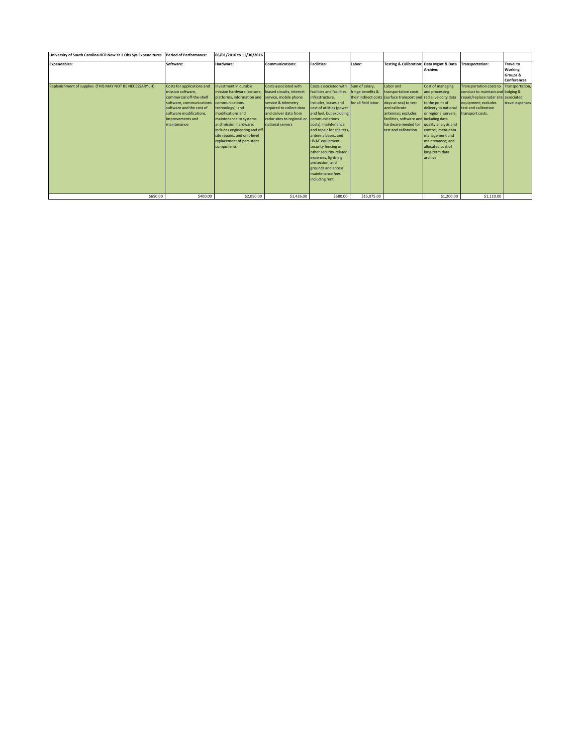| University of South Carolina HFR New Yr 1 Obs Sys Expenditures | Period of Performance:                                                                                                                                                                            | 06/01/2016 to 11/30/2016                                                                                                                                                                                                                                                                                    |                                                                                                                                                                                                           |                                                                                                                                                                                                                                                                                                                                                                                                                                   |                                                             |                                                                                                                                                                                                                                                                |                                                                                                                                                                                                                                              |                                                                                                                                                                                |                                   |
|----------------------------------------------------------------|---------------------------------------------------------------------------------------------------------------------------------------------------------------------------------------------------|-------------------------------------------------------------------------------------------------------------------------------------------------------------------------------------------------------------------------------------------------------------------------------------------------------------|-----------------------------------------------------------------------------------------------------------------------------------------------------------------------------------------------------------|-----------------------------------------------------------------------------------------------------------------------------------------------------------------------------------------------------------------------------------------------------------------------------------------------------------------------------------------------------------------------------------------------------------------------------------|-------------------------------------------------------------|----------------------------------------------------------------------------------------------------------------------------------------------------------------------------------------------------------------------------------------------------------------|----------------------------------------------------------------------------------------------------------------------------------------------------------------------------------------------------------------------------------------------|--------------------------------------------------------------------------------------------------------------------------------------------------------------------------------|-----------------------------------|
| <b>Expendables:</b>                                            | Software:                                                                                                                                                                                         | Hardware:                                                                                                                                                                                                                                                                                                   | <b>Communications:</b>                                                                                                                                                                                    | <b>Facilities:</b>                                                                                                                                                                                                                                                                                                                                                                                                                | Labor:                                                      | <b>Testing &amp; Calibration: Data Mgmt &amp; Data</b>                                                                                                                                                                                                         | Archive:                                                                                                                                                                                                                                     | Transportation:                                                                                                                                                                | <b>Travel to</b><br>Working       |
|                                                                |                                                                                                                                                                                                   |                                                                                                                                                                                                                                                                                                             |                                                                                                                                                                                                           |                                                                                                                                                                                                                                                                                                                                                                                                                                   |                                                             |                                                                                                                                                                                                                                                                |                                                                                                                                                                                                                                              |                                                                                                                                                                                | Groups &<br><b>Conferences</b>    |
| Replenishment of supplies (THIS MAY NOT BE NECESSARY-JH)       | Costs for applications and<br>mission software.<br>commercial off-the-shelf<br>software, communications<br>software and the cost of<br>software modifications,<br>improvements and<br>maintenance | Investment in durable<br>mission hardware (sensors,<br>platforms, information and<br>communications<br>technology); and<br>modifications and<br>maintenance to systems<br>and mission hardware;<br>includes engineering and off-<br>site repairs, and unit-level<br>replacement of persistent<br>components | Costs associated with<br>leased circuits, internet<br>service, mobile phone<br>service & telemetry<br>required to collect data<br>and deliver data from<br>radar sites to regional or<br>national servers | Costs associated with<br>facilities and facilities<br>infrastructure.<br>Includes, leases and<br>cost of utilities (power<br>and fuel, but excluding<br>communications<br>costs), maintenance<br>and repair for shelters,<br>antenna bases, and<br><b>HVAC</b> equipment.<br>security fencing or<br>other security-related<br>expenses, lightning<br>protection, and<br>grounds and access<br>maintenance fees<br>including rent. | Sum of salary,<br>fringe benefits &<br>for all field labor. | Labor and<br>transportation costs<br>their indirect costs (surface transport and radial velocity data<br>days-at-sea) to test<br>and calibrate<br>antennas; excludes<br>facilities, software and including data<br>hardware needed for<br>test and calibration | Cost of managing<br>and processing<br>to the point of<br>delivery to national<br>or regional servers,<br>quality analysis and<br>control: meta-data<br>management and<br>maintenance: and<br>allocated cost of<br>long-term data<br>larchive | <b>Transportation costs to</b><br>conduct to maintain and lodging &<br>repair/replace radar site associated<br>equipment: excludes<br>test and calibration<br>transport costs. | Transportation<br>travel expenses |
| \$650.00                                                       | \$400.00                                                                                                                                                                                          | \$2,050.00                                                                                                                                                                                                                                                                                                  | \$1,426.00                                                                                                                                                                                                | \$680.00                                                                                                                                                                                                                                                                                                                                                                                                                          | \$15,075.00                                                 |                                                                                                                                                                                                                                                                | \$1,200.00                                                                                                                                                                                                                                   | \$1,110.00                                                                                                                                                                     |                                   |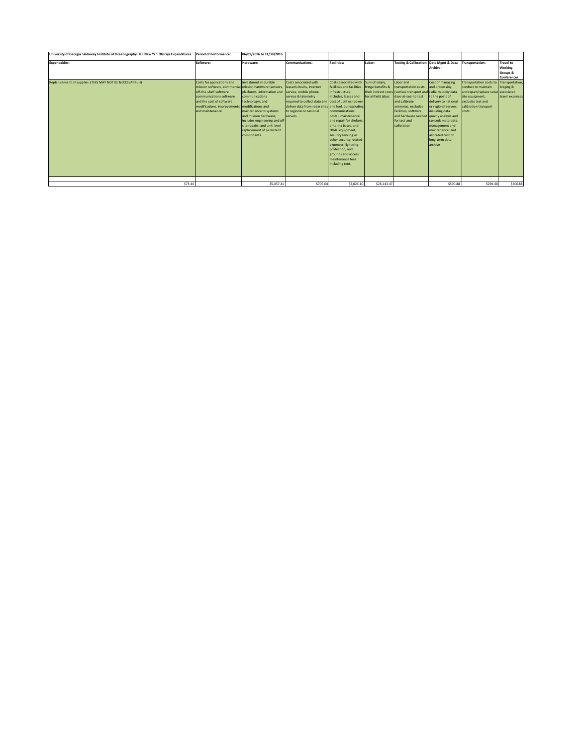| University of Georgia Skidaway Institute of Oceanography HFR New Yr 1 Obs Sys Expenditures | <b>Period of Performance:</b>                                                                                                                                                                                                                 | 06/01/2016 to 11/30/2016                                                                                                                                                                                                                                                       |                                                                                                                                                                                                          |                                                                                                                                                                                                                                                                                                                                                                                                                       |                                           |                                                                                                                                                                                                                                                                         |                                                                                                                                                                                                                                       |                                                                                                                                                                         |                                                               |
|--------------------------------------------------------------------------------------------|-----------------------------------------------------------------------------------------------------------------------------------------------------------------------------------------------------------------------------------------------|--------------------------------------------------------------------------------------------------------------------------------------------------------------------------------------------------------------------------------------------------------------------------------|----------------------------------------------------------------------------------------------------------------------------------------------------------------------------------------------------------|-----------------------------------------------------------------------------------------------------------------------------------------------------------------------------------------------------------------------------------------------------------------------------------------------------------------------------------------------------------------------------------------------------------------------|-------------------------------------------|-------------------------------------------------------------------------------------------------------------------------------------------------------------------------------------------------------------------------------------------------------------------------|---------------------------------------------------------------------------------------------------------------------------------------------------------------------------------------------------------------------------------------|-------------------------------------------------------------------------------------------------------------------------------------------------------------------------|---------------------------------------------------------------|
| <b>Expendables:</b>                                                                        | Software:                                                                                                                                                                                                                                     | Hardware:                                                                                                                                                                                                                                                                      | <b>Communications:</b>                                                                                                                                                                                   | <b>Facilities:</b>                                                                                                                                                                                                                                                                                                                                                                                                    | Labor:                                    | <b>Testing &amp; Calibration: Data Mgmt &amp; Data</b>                                                                                                                                                                                                                  | Archive:                                                                                                                                                                                                                              | Transportation:                                                                                                                                                         | <b>Travel to</b><br>Working<br>Groups &<br><b>Conferences</b> |
| Replenishment of supplies (THIS MAY NOT BE NECESSARY-JH)                                   | Costs for applications and<br>mission software, commercial mission hardware (sensors,<br>off-the-shelf software.<br>communications software<br>and the cost of software<br>modifications, improvements   modifications and<br>and maintenance | Investment in durable<br>platforms, information and service, mobile phone<br>communications<br>technology); and<br>maintenance to systems<br>land mission hardware:<br>includes engineering and off<br>site repairs, and unit-level<br>replacement of persistent<br>components | Costs associated with<br>leased circuits, internet<br>service & telemetry<br>required to collect data and<br>deliver data from radar sites and fuel, but excluding<br>to regional or national<br>servers | Costs associated with Sum of salary.<br>facilities and facilities<br>infrastructure.<br>Includes, leases and<br>cost of utilities (power<br>communications<br>costs), maintenance<br>and repair for shelters.<br>antenna bases, and<br><b>HVAC</b> equipment.<br>security fencing or<br>other security-related<br>expenses, lightning<br>protection, and<br>grounds and access<br>maintenance fees<br>including rent. | fringe benefits &<br>for all field labor. | Labor and<br>transportation costs<br>their indirect costs (surface transport and radial velocity data<br>days-at-sea) to test<br>and calibrate<br>antennas: excludes<br>facilities, software<br>and hardware needed quality analysis and<br>for test and<br>calibration | Cost of managing<br>and processing<br>to the point of<br>delivery to national<br>or regional servers.<br>including data<br>control: meta-data<br>management and<br>maintenance: and<br>allocated cost of<br>long-term data<br>archive | <b>Transportation costs to</b><br>conduct to maintain<br>and repair/replace radar associated<br>site equipment;<br>excludes test and<br>calibration transport<br>costs. | Transportation<br>lodging &<br>travel expenses                |
| \$73.44                                                                                    |                                                                                                                                                                                                                                               | \$5,057.41                                                                                                                                                                                                                                                                     | \$705.64                                                                                                                                                                                                 | \$2,026.10                                                                                                                                                                                                                                                                                                                                                                                                            | \$28,143.47                               |                                                                                                                                                                                                                                                                         | \$590.88                                                                                                                                                                                                                              | \$294.40                                                                                                                                                                | \$300.88                                                      |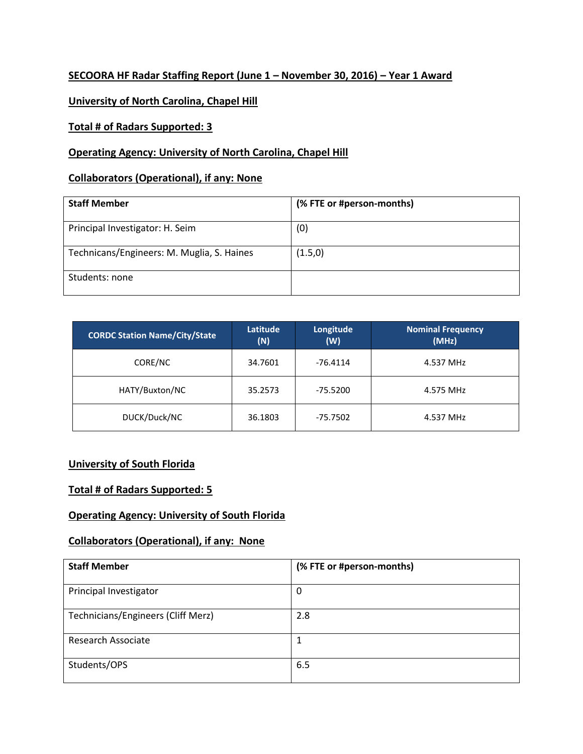## **SECOORA HF Radar Staffing Report (June 1 – November 30, 2016) – Year 1 Award**

## **University of North Carolina, Chapel Hill**

#### **Total # of Radars Supported: 3**

## **Operating Agency: University of North Carolina, Chapel Hill**

#### **Collaborators (Operational), if any: None**

| <b>Staff Member</b>                        | (% FTE or #person-months) |
|--------------------------------------------|---------------------------|
| Principal Investigator: H. Seim            | (0)                       |
| Technicans/Engineers: M. Muglia, S. Haines | (1.5,0)                   |
| Students: none                             |                           |

| <b>CORDC Station Name/City/State</b> | Latitude<br>(N) | Longitude<br>(W) | <b>Nominal Frequency</b><br>(MHz) |
|--------------------------------------|-----------------|------------------|-----------------------------------|
| CORE/NC                              | 34.7601         | $-76.4114$       | 4.537 MHz                         |
| HATY/Buxton/NC                       | 35.2573         | $-75.5200$       | 4.575 MHz                         |
| DUCK/Duck/NC                         | 36.1803         | $-75.7502$       | 4.537 MHz                         |

## **University of South Florida**

#### **Total # of Radars Supported: 5**

#### **Operating Agency: University of South Florida**

## **Collaborators (Operational), if any: None**

| <b>Staff Member</b>                | (% FTE or #person-months) |
|------------------------------------|---------------------------|
| Principal Investigator             | 0                         |
| Technicians/Engineers (Cliff Merz) | 2.8                       |
| <b>Research Associate</b>          | 1                         |
| Students/OPS                       | 6.5                       |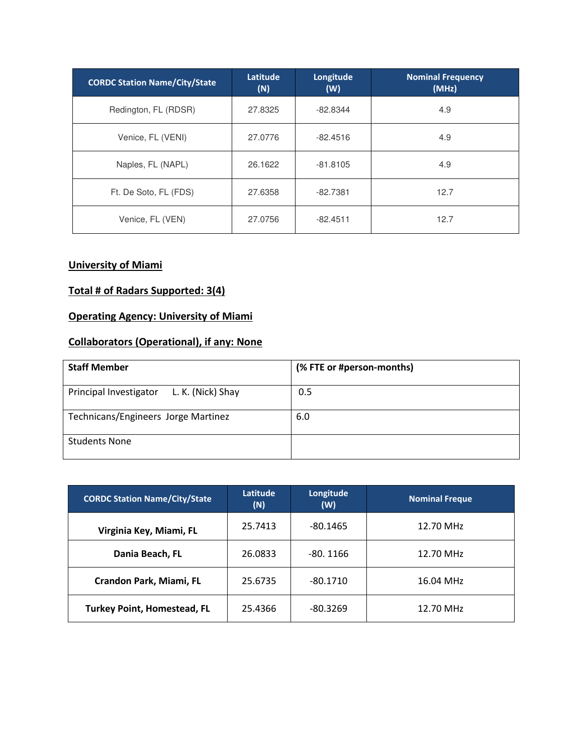| <b>CORDC Station Name/City/State</b> | Latitude<br>(N) | Longitude<br>(W) | <b>Nominal Frequency</b><br>(MHz) |
|--------------------------------------|-----------------|------------------|-----------------------------------|
| Redington, FL (RDSR)                 | 27.8325         | $-82.8344$       | 4.9                               |
| Venice, FL (VENI)                    | 27.0776         | $-82.4516$       | 4.9                               |
| Naples, FL (NAPL)                    | 26.1622         | $-81.8105$       | 4.9                               |
| Ft. De Soto, FL (FDS)                | 27.6358         | $-82.7381$       | 12.7                              |
| Venice, FL (VEN)                     | 27.0756         | $-82.4511$       | 12.7                              |

## **University of Miami**

## **Total # of Radars Supported: 3(4)**

## **Operating Agency: University of Miami**

## **Collaborators (Operational), if any: None**

| <b>Staff Member</b>                         | (% FTE or #person-months) |
|---------------------------------------------|---------------------------|
| L. K. (Nick) Shay<br>Principal Investigator | 0.5                       |
| Technicans/Engineers Jorge Martinez         | 6.0                       |
| <b>Students None</b>                        |                           |

| <b>CORDC Station Name/City/State</b> | Latitude<br>(N) | Longitude<br>(W) | <b>Nominal Freque</b> |
|--------------------------------------|-----------------|------------------|-----------------------|
| Virginia Key, Miami, FL              | 25.7413         | $-80.1465$       | 12.70 MHz             |
| Dania Beach, FL                      | 26.0833         | $-80.1166$       | 12.70 MHz             |
| Crandon Park, Miami, FL              | 25.6735         | $-80.1710$       | 16.04 MHz             |
| <b>Turkey Point, Homestead, FL</b>   | 25.4366         | $-80.3269$       | 12.70 MHz             |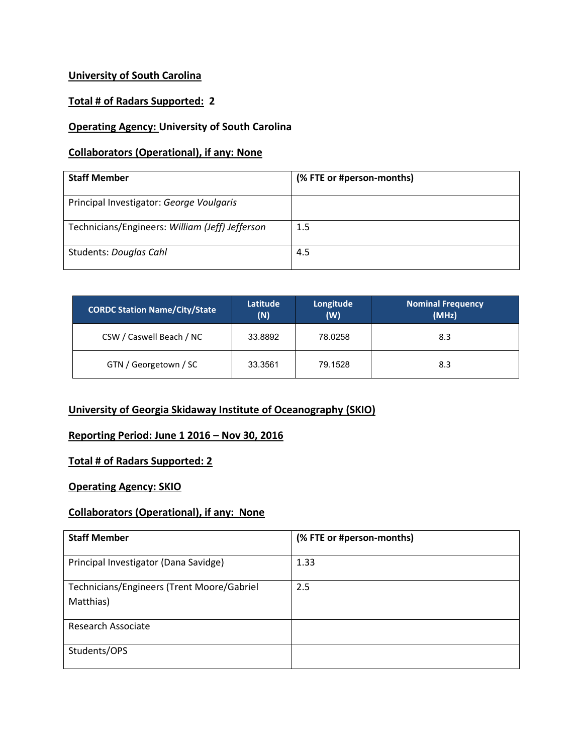## **University of South Carolina**

## **Total # of Radars Supported: 2**

## **Operating Agency: University of South Carolina**

## **Collaborators (Operational), if any: None**

| <b>Staff Member</b>                             | (% FTE or #person-months) |
|-------------------------------------------------|---------------------------|
| Principal Investigator: George Voulgaris        |                           |
| Technicians/Engineers: William (Jeff) Jefferson | 1.5                       |
| Students: Douglas Cahl                          | 4.5                       |

| <b>CORDC Station Name/City/State</b> | Latitude<br>(N) | Longitude<br>(W) | <b>Nominal Frequency</b><br>(MHz) |
|--------------------------------------|-----------------|------------------|-----------------------------------|
| CSW / Caswell Beach / NC             | 33.8892         | 78.0258          | 8.3                               |
| GTN / Georgetown / SC                | 33.3561         | 79.1528          | 8.3                               |

## **University of Georgia Skidaway Institute of Oceanography (SKIO)**

## **Reporting Period: June 1 2016 – Nov 30, 2016**

### **Total # of Radars Supported: 2**

#### **Operating Agency: SKIO**

## **Collaborators (Operational), if any: None**

| <b>Staff Member</b>                                     | (% FTE or #person-months) |
|---------------------------------------------------------|---------------------------|
| Principal Investigator (Dana Savidge)                   | 1.33                      |
| Technicians/Engineers (Trent Moore/Gabriel<br>Matthias) | 2.5                       |
| Research Associate                                      |                           |
| Students/OPS                                            |                           |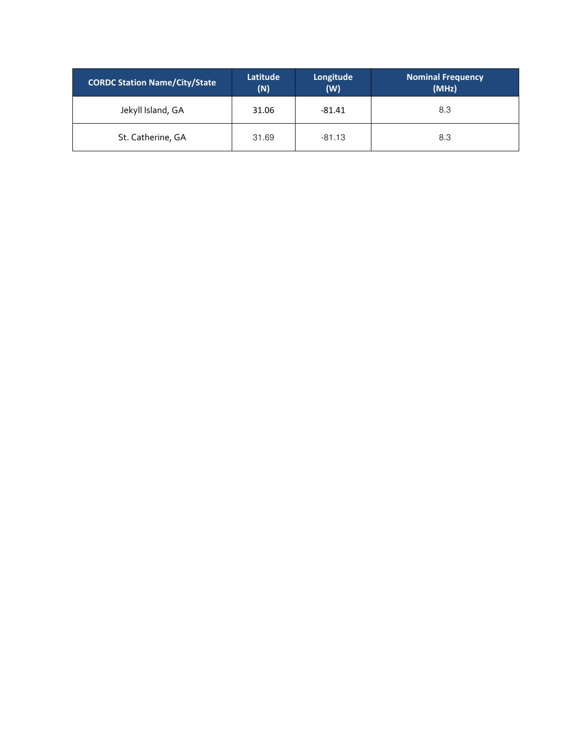| <b>CORDC Station Name/City/State</b> | Latitude<br>(N) | Longitude<br>(W) | <b>Nominal Frequency</b><br>(MHz) |
|--------------------------------------|-----------------|------------------|-----------------------------------|
| Jekyll Island, GA                    | 31.06           | $-81.41$         | 8.3                               |
| St. Catherine, GA                    | 31.69           | $-81.13$         | 8.3                               |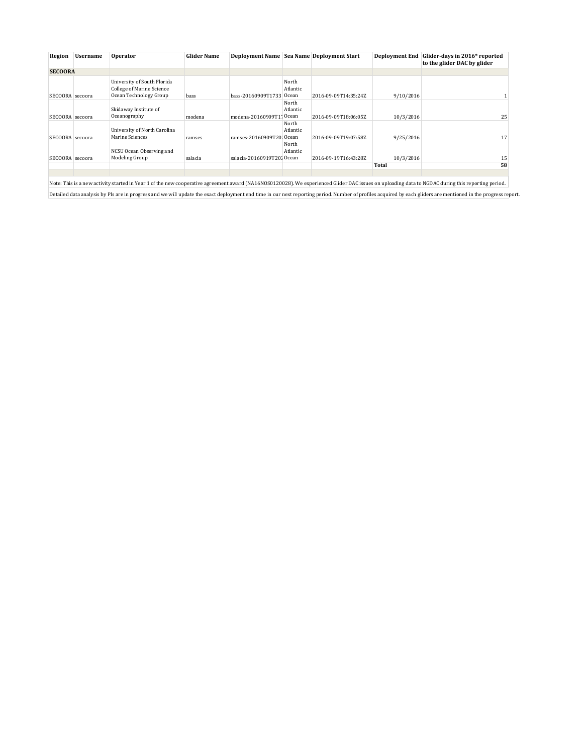| Region          | <b>Username</b> | <b>Operator</b>                                                                    | <b>Glider Name</b> |                            |                            | <b>Deployment Name Sea Name Deployment Start</b> | <b>Deployment End</b> | Glider-days in 2016* reported<br>to the glider DAC by glider |
|-----------------|-----------------|------------------------------------------------------------------------------------|--------------------|----------------------------|----------------------------|--------------------------------------------------|-----------------------|--------------------------------------------------------------|
| <b>SECOORA</b>  |                 |                                                                                    |                    |                            |                            |                                                  |                       |                                                              |
| SECOORA secoora |                 | University of South Florida<br>College of Marine Science<br>Ocean Technology Group | bass               | bass-20160909T1733         | North<br>Atlantic<br>Ocean | 2016-09-09T14:35:24Z                             | 9/10/2016             |                                                              |
| SECOORA secoora |                 | Skidaway Institute of<br>Oceanography                                              | modena             | modena-20160909T17Ocean    | North<br>Atlantic          | 2016-09-09T18:06:05Z                             | 10/3/2016             | 25                                                           |
| SECOORA secoora |                 | University of North Carolina<br>Marine Sciences                                    | ramses             | ramses-20160909T20; Ocean  | North<br>Atlantic          | 2016-09-09T19:07:58Z                             | 9/25/2016             | 17                                                           |
| SECOORA secoora |                 | NCSU Ocean Observing and<br>Modeling Group                                         | salacia            | salacia-20160919T202 Ocean | North<br>Atlantic          | 2016-09-19T16:43:28Z                             | 10/3/2016             | 15                                                           |
|                 |                 |                                                                                    |                    |                            |                            |                                                  | Total                 | 58                                                           |
|                 |                 |                                                                                    |                    |                            |                            |                                                  |                       |                                                              |

Note: This is a new activity started in Year 1 of the new cooperative agreement award (NA16NOS0120028). We experienced Glider DAC issues on uploading data to NGDAC during this reporting period. Detailed data analysis by PIs are in progress and we will update the exact deployment end time in our next reporting period. Number of profiles acquired by each gliders are mentioned in the progress report.